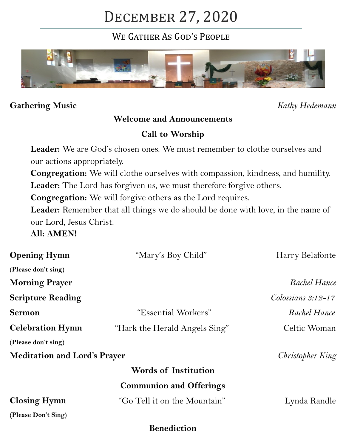# December 27, 2020

WE GATHER AS GOD'S PEOPLE



#### **Gathering Music** *Kathy Hedemann*

## **Welcome and Announcements**

## **Call to Worship**

Leader: We are God's chosen ones. We must remember to clothe ourselves and our actions appropriately.

**Congregation:** We will clothe ourselves with compassion, kindness, and humility. Leader: The Lord has forgiven us, we must therefore forgive others.

**Congregation:** We will forgive others as the Lord requires.

Leader: Remember that all things we do should be done with love, in the name of our Lord, Jesus Christ.

**All: AMEN!**

| <b>Opening Hymn</b>                 | "Mary's Boy Child"             | Harry Belafonte                 |
|-------------------------------------|--------------------------------|---------------------------------|
| (Please don't sing)                 |                                |                                 |
| <b>Morning Prayer</b>               |                                | Rachel Hance                    |
| <b>Scripture Reading</b>            |                                | $\mathcal{C}$ olossians 3:12-17 |
| <b>Sermon</b>                       | "Essential Workers"            | Rachel Hance                    |
| <b>Celebration Hymn</b>             | "Hark the Herald Angels Sing"  | Celtic Woman                    |
| (Please don't sing)                 |                                |                                 |
| <b>Meditation and Lord's Prayer</b> |                                | Christopher King                |
|                                     | <b>Words of Institution</b>    |                                 |
|                                     | <b>Communion and Offerings</b> |                                 |
| <b>Closing Hymn</b>                 | "Go Tell it on the Mountain"   | Lynda Randle                    |
| (Please Don't Sing)                 |                                |                                 |
|                                     | <b>Benediction</b>             |                                 |